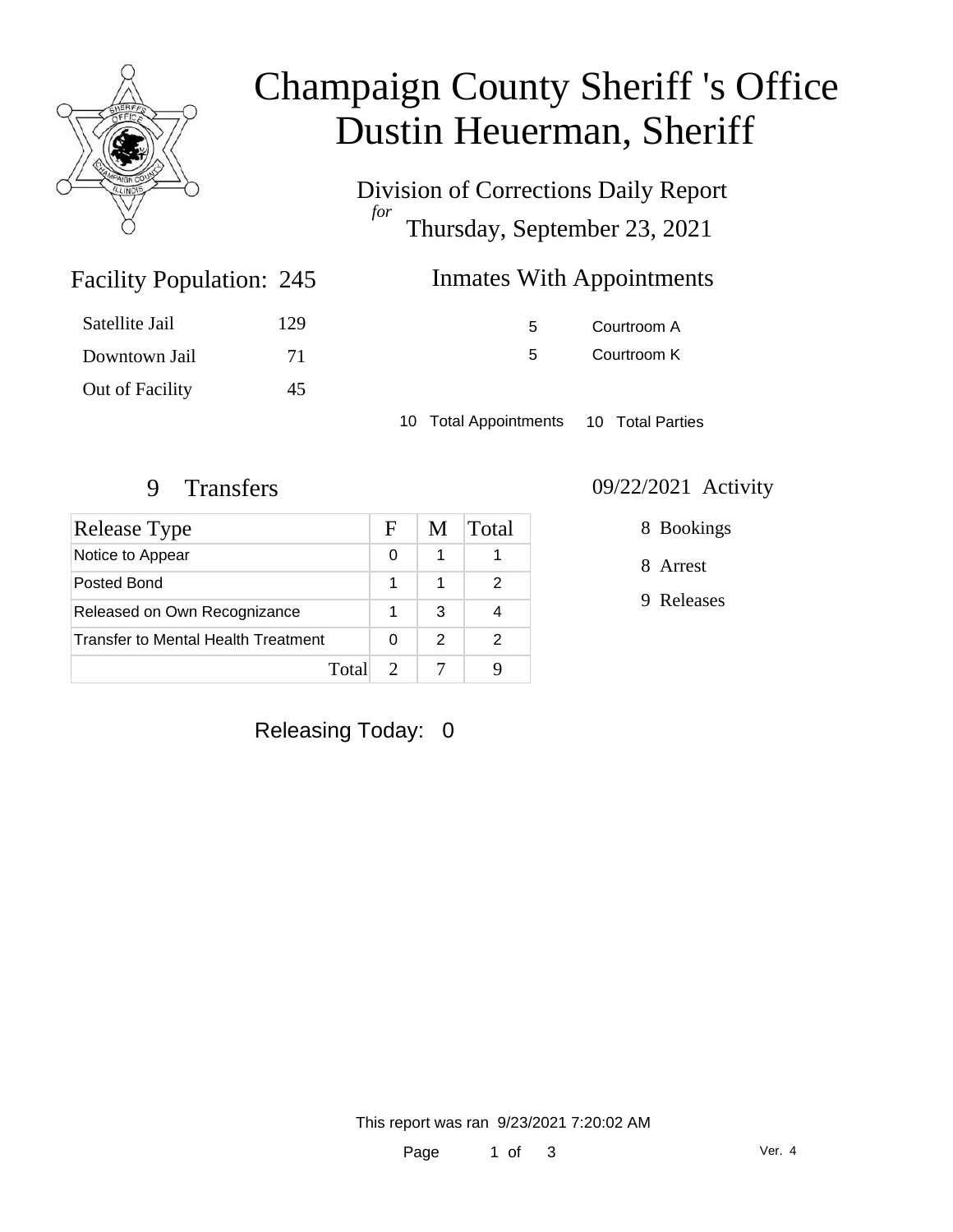

# Champaign County Sheriff 's Office Dustin Heuerman, Sheriff

Division of Corrections Daily Report *for* Thursday, September 23, 2021

## Inmates With Appointments

| Satellite Jail  | 129 |
|-----------------|-----|
| Downtown Jail   | 71  |
| Out of Facility | 45  |

Facility Population: 245

5 Courtroom A 5 Courtroom K

10 Total Appointments 10 Total Parties

| Release Type                        | F | M | Total |
|-------------------------------------|---|---|-------|
| Notice to Appear                    | 0 | 1 |       |
| Posted Bond                         |   | 1 |       |
| Released on Own Recognizance        |   | 3 |       |
| Transfer to Mental Health Treatment |   | 2 | 2     |
| Total                               |   |   |       |

#### 9 Transfers 09/22/2021 Activity

8 Bookings

8 Arrest

9 Releases

Releasing Today: 0

This report was ran 9/23/2021 7:20:02 AM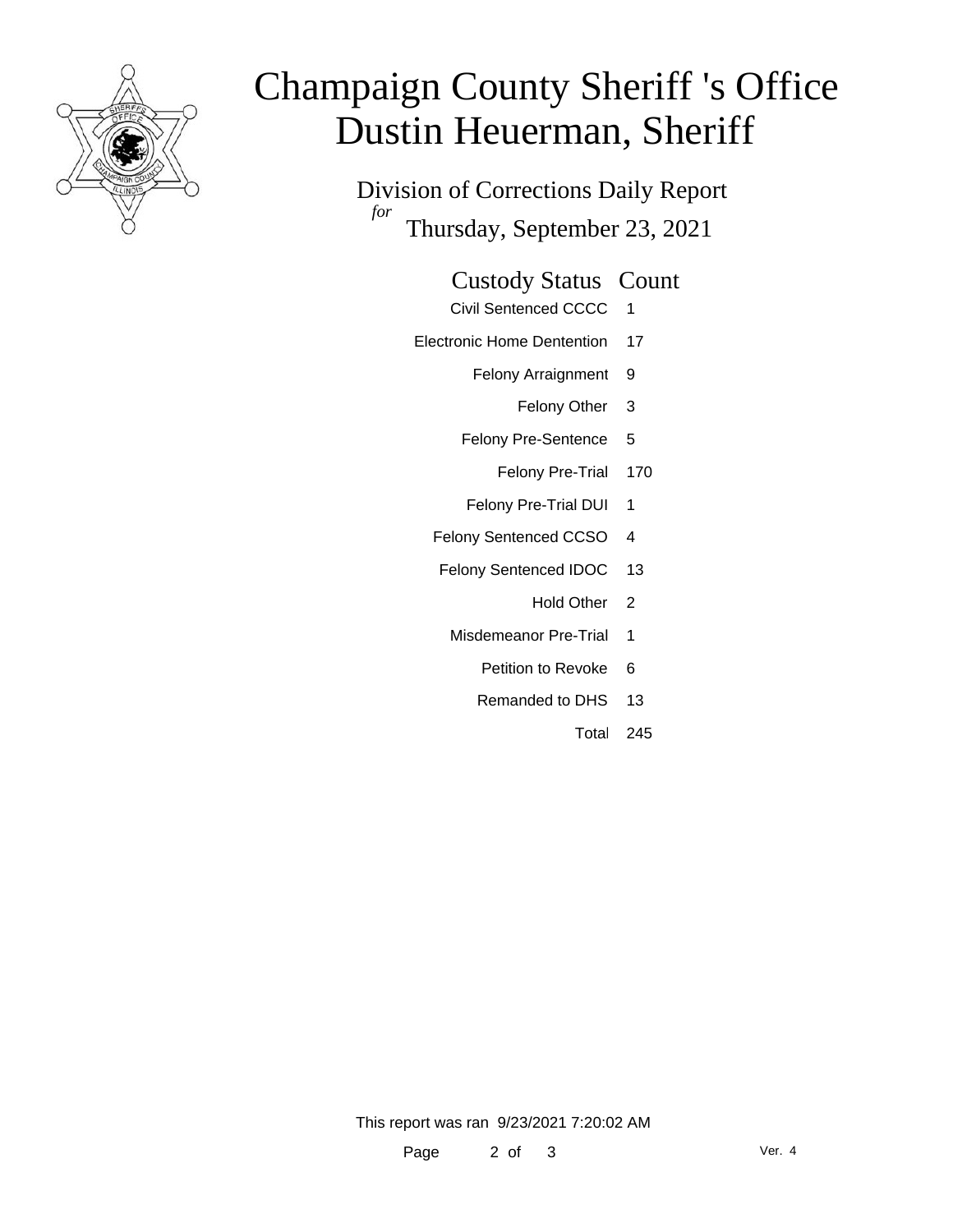

# Champaign County Sheriff 's Office Dustin Heuerman, Sheriff

Division of Corrections Daily Report *for* Thursday, September 23, 2021

#### Custody Status Count

- Civil Sentenced CCCC 1
- Electronic Home Dentention 17
	- Felony Arraignment 9
		- Felony Other 3
	- Felony Pre-Sentence 5
		- Felony Pre-Trial 170
	- Felony Pre-Trial DUI 1
	- Felony Sentenced CCSO 4
	- Felony Sentenced IDOC 13
		- Hold Other<sub>2</sub>
		- Misdemeanor Pre-Trial 1
			- Petition to Revoke 6
			- Remanded to DHS 13
				- Total 245

This report was ran 9/23/2021 7:20:02 AM